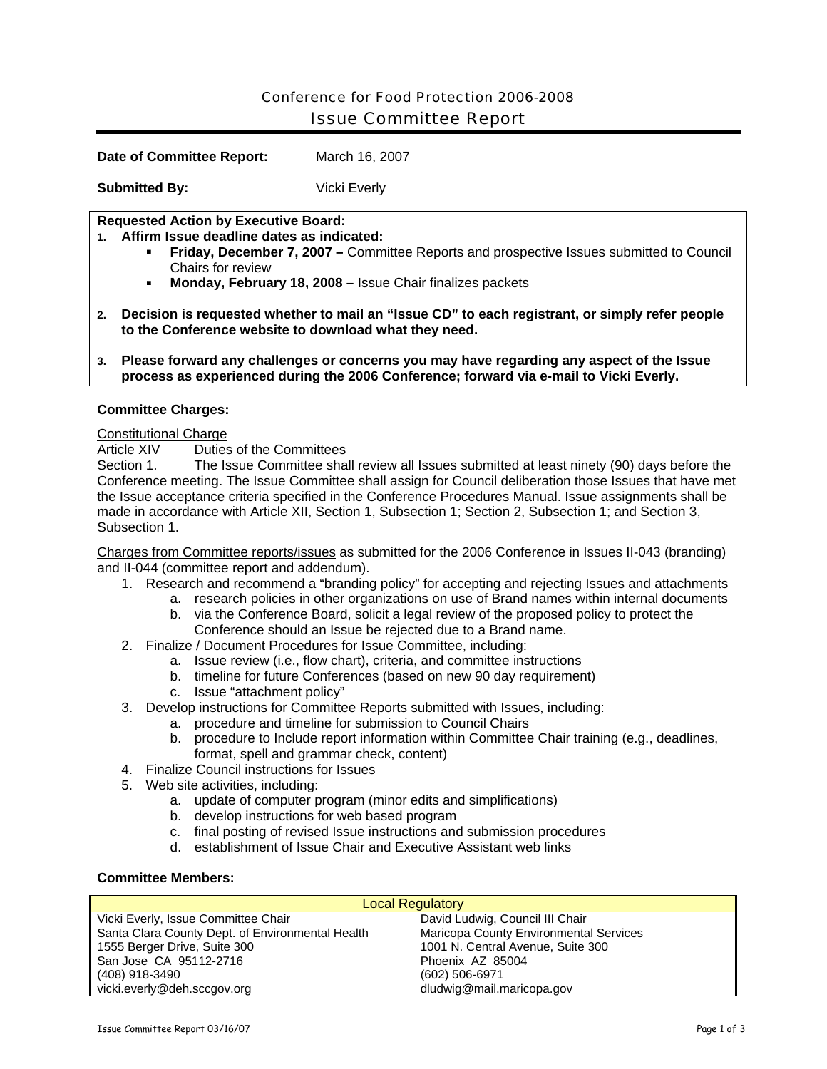# Conference for Food Protection 2006-2008 Issue Committee Report

**Date of Committee Report:** March 16, 2007

**Submitted By:** Vicki Everly

### **Requested Action by Executive Board:**

**1. Affirm Issue deadline dates as indicated:** 

- **Friday, December 7, 2007** Committee Reports and prospective Issues submitted to Council Chairs for review
- **Monday, February 18, 2008** Issue Chair finalizes packets
- **2. Decision is requested whether to mail an "Issue CD" to each registrant, or simply refer people to the Conference website to download what they need.**
- **3. Please forward any challenges or concerns you may have regarding any aspect of the Issue process as experienced during the 2006 Conference; forward via e-mail to Vicki Everly.**

#### **Committee Charges:**

#### Constitutional Charge

Article XIV Duties of the Committees

Section 1. The Issue Committee shall review all Issues submitted at least ninety (90) days before the Conference meeting. The Issue Committee shall assign for Council deliberation those Issues that have met the Issue acceptance criteria specified in the Conference Procedures Manual. Issue assignments shall be made in accordance with Article XII, Section 1, Subsection 1; Section 2, Subsection 1; and Section 3, Subsection 1.

Charges from Committee reports/issues as submitted for the 2006 Conference in Issues II-043 (branding) and II-044 (committee report and addendum).

- 1. Research and recommend a "branding policy" for accepting and rejecting Issues and attachments
	- a. research policies in other organizations on use of Brand names within internal documents
	- b. via the Conference Board, solicit a legal review of the proposed policy to protect the Conference should an Issue be rejected due to a Brand name.
- 2. Finalize / Document Procedures for Issue Committee, including:
	- a. Issue review (i.e., flow chart), criteria, and committee instructions
	- b. timeline for future Conferences (based on new 90 day requirement)
	- c. Issue "attachment policy"
- 3. Develop instructions for Committee Reports submitted with Issues, including:
	- a. procedure and timeline for submission to Council Chairs
	- b. procedure to Include report information within Committee Chair training (e.g., deadlines, format, spell and grammar check, content)
- 4. Finalize Council instructions for Issues
- 5. Web site activities, including:
	- a. update of computer program (minor edits and simplifications)
	- b. develop instructions for web based program
	- c. final posting of revised Issue instructions and submission procedures
	- d. establishment of Issue Chair and Executive Assistant web links

## **Committee Members:**

| <b>Local Regulatory</b>                          |                                        |  |
|--------------------------------------------------|----------------------------------------|--|
| Vicki Everly, Issue Committee Chair              | David Ludwig, Council III Chair        |  |
| Santa Clara County Dept. of Environmental Health | Maricopa County Environmental Services |  |
| 1555 Berger Drive, Suite 300                     | 1001 N. Central Avenue, Suite 300      |  |
| San Jose CA 95112-2716                           | Phoenix AZ 85004                       |  |
| (408) 918-3490                                   | (602) 506-6971                         |  |
| vicki.everly@deh.sccgov.org                      | dludwig@mail.maricopa.gov              |  |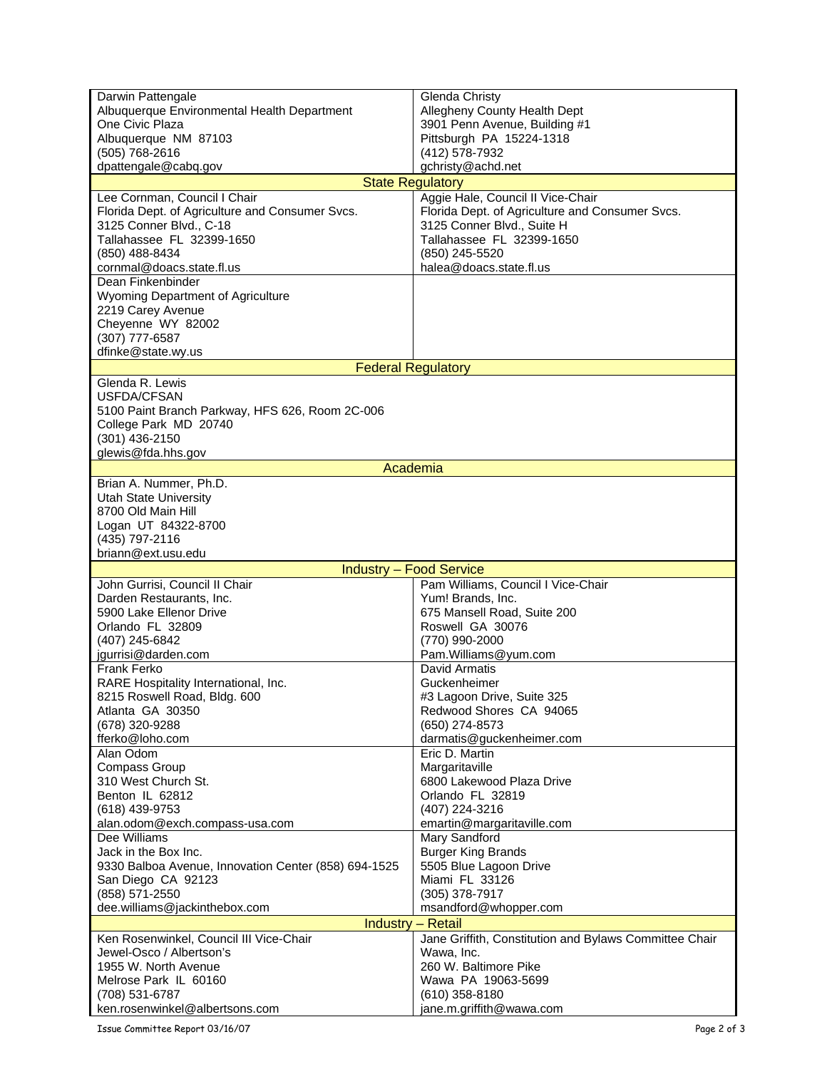| Darwin Pattengale                                                   | Glenda Christy                                         |
|---------------------------------------------------------------------|--------------------------------------------------------|
| Albuquerque Environmental Health Department                         | Allegheny County Health Dept                           |
| One Civic Plaza                                                     | 3901 Penn Avenue, Building #1                          |
| Albuquerque NM 87103                                                | Pittsburgh PA 15224-1318                               |
| (505) 768-2616                                                      | (412) 578-7932                                         |
| dpattengale@cabq.gov                                                | gchristy@achd.net                                      |
|                                                                     | <b>State Regulatory</b>                                |
| Lee Cornman, Council I Chair                                        | Aggie Hale, Council II Vice-Chair                      |
| Florida Dept. of Agriculture and Consumer Svcs.                     | Florida Dept. of Agriculture and Consumer Svcs.        |
| 3125 Conner Blvd., C-18                                             | 3125 Conner Blvd., Suite H                             |
| Tallahassee FL 32399-1650                                           | Tallahassee FL 32399-1650                              |
| (850) 488-8434                                                      | (850) 245-5520                                         |
| cornmal@doacs.state.fl.us<br>Dean Finkenbinder                      | halea@doacs.state.fl.us                                |
| Wyoming Department of Agriculture                                   |                                                        |
| 2219 Carey Avenue                                                   |                                                        |
| Cheyenne WY 82002                                                   |                                                        |
| (307) 777-6587                                                      |                                                        |
| dfinke@state.wy.us                                                  |                                                        |
|                                                                     | <b>Federal Regulatory</b>                              |
| Glenda R. Lewis                                                     |                                                        |
| USFDA/CFSAN                                                         |                                                        |
| 5100 Paint Branch Parkway, HFS 626, Room 2C-006                     |                                                        |
| College Park MD 20740                                               |                                                        |
| (301) 436-2150                                                      |                                                        |
| glewis@fda.hhs.gov                                                  |                                                        |
|                                                                     | Academia                                               |
| Brian A. Nummer, Ph.D.                                              |                                                        |
| <b>Utah State University</b>                                        |                                                        |
| 8700 Old Main Hill                                                  |                                                        |
| Logan UT 84322-8700                                                 |                                                        |
| (435) 797-2116                                                      |                                                        |
| briann@ext.usu.edu                                                  |                                                        |
|                                                                     | <b>Industry - Food Service</b>                         |
| John Gurrisi, Council II Chair                                      | Pam Williams, Council I Vice-Chair                     |
| Darden Restaurants, Inc.<br>5900 Lake Ellenor Drive                 | Yum! Brands, Inc.                                      |
| Orlando FL 32809                                                    | 675 Mansell Road, Suite 200<br>Roswell GA 30076        |
| (407) 245-6842                                                      | (770) 990-2000                                         |
| jgurrisi@darden.com                                                 | Pam.Williams@yum.com                                   |
| Frank Ferko                                                         | David Armatis                                          |
| RARE Hospitality International, Inc.                                | Guckenheimer                                           |
| 8215 Roswell Road, Bldg. 600                                        | #3 Lagoon Drive, Suite 325                             |
| Atlanta GA 30350                                                    | Redwood Shores CA 94065                                |
| (678) 320-9288                                                      | (650) 274-8573                                         |
| fferko@loho.com                                                     | darmatis@guckenheimer.com                              |
| Alan Odom                                                           | Eric D. Martin                                         |
| <b>Compass Group</b>                                                | Margaritaville                                         |
| 310 West Church St.                                                 | 6800 Lakewood Plaza Drive                              |
| Benton IL 62812                                                     | Orlando FL 32819                                       |
| (618) 439-9753                                                      | (407) 224-3216                                         |
| alan.odom@exch.compass-usa.com                                      | emartin@margaritaville.com<br>Mary Sandford            |
| Dee Williams<br>Jack in the Box Inc.                                |                                                        |
|                                                                     |                                                        |
|                                                                     | <b>Burger King Brands</b>                              |
| 9330 Balboa Avenue, Innovation Center (858) 694-1525                | 5505 Blue Lagoon Drive                                 |
| San Diego CA 92123                                                  | Miami FL 33126                                         |
| (858) 571-2550                                                      | (305) 378-7917                                         |
| dee.williams@jackinthebox.com                                       | msandford@whopper.com                                  |
|                                                                     | <b>Industry - Retail</b>                               |
| Ken Rosenwinkel, Council III Vice-Chair<br>Jewel-Osco / Albertson's | Jane Griffith, Constitution and Bylaws Committee Chair |
| 1955 W. North Avenue                                                | Wawa, Inc.<br>260 W. Baltimore Pike                    |
| Melrose Park IL 60160                                               | Wawa PA 19063-5699                                     |
| (708) 531-6787                                                      | $(610)$ 358-8180                                       |

Issue Committee Report 03/16/07 Page 2 of 3